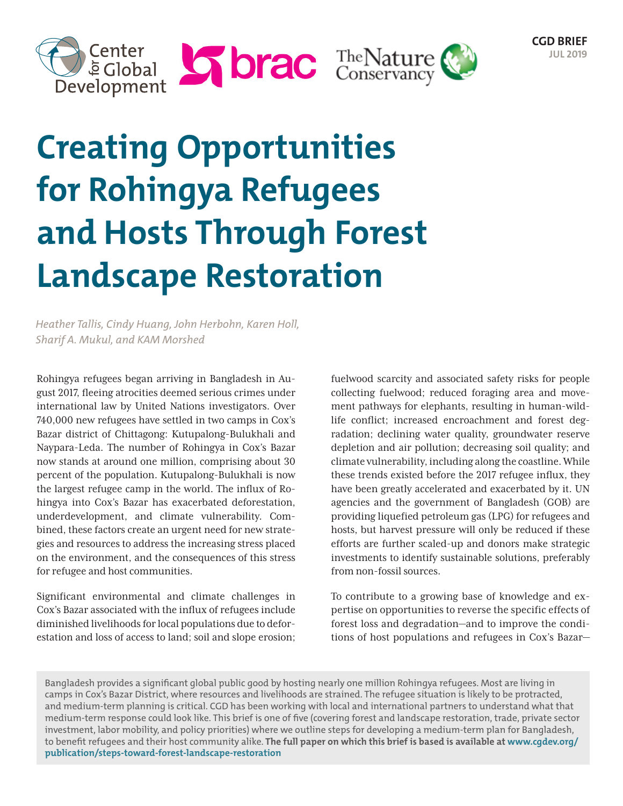



# **Creating Opportunities for Rohingya Refugees and Hosts Through Forest Landscape Restoration**

*Heather Tallis, Cindy Huang, John Herbohn, Karen Holl, Sharif A. Mukul, and KAM Morshed*

Rohingya refugees began arriving in Bangladesh in August 2017, fleeing atrocities deemed serious crimes under international law by United Nations investigators. Over 740,000 new refugees have settled in two camps in Cox's Bazar district of Chittagong: Kutupalong-Bulukhali and Naypara-Leda. The number of Rohingya in Cox's Bazar now stands at around one million, comprising about 30 percent of the population. Kutupalong-Bulukhali is now the largest refugee camp in the world. The influx of Rohingya into Cox's Bazar has exacerbated deforestation, underdevelopment, and climate vulnerability. Combined, these factors create an urgent need for new strategies and resources to address the increasing stress placed on the environment, and the consequences of this stress for refugee and host communities.

Significant environmental and climate challenges in Cox's Bazar associated with the influx of refugees include diminished livelihoods for local populations due to deforestation and loss of access to land; soil and slope erosion;

fuelwood scarcity and associated safety risks for people collecting fuelwood; reduced foraging area and movement pathways for elephants, resulting in human-wildlife conflict; increased encroachment and forest degradation; declining water quality, groundwater reserve depletion and air pollution; decreasing soil quality; and climate vulnerability, including along the coastline. While these trends existed before the 2017 refugee influx, they have been greatly accelerated and exacerbated by it. UN agencies and the government of Bangladesh (GOB) are providing liquefied petroleum gas (LPG) for refugees and hosts, but harvest pressure will only be reduced if these efforts are further scaled-up and donors make strategic investments to identify sustainable solutions, preferably from non-fossil sources.

To contribute to a growing base of knowledge and expertise on opportunities to reverse the specific effects of forest loss and degradation—and to improve the conditions of host populations and refugees in Cox's Bazar—

Bangladesh provides a significant global public good by hosting nearly one million Rohingya refugees. Most are living in camps in Cox's Bazar District, where resources and livelihoods are strained. The refugee situation is likely to be protracted, and medium-term planning is critical. CGD has been working with local and international partners to understand what that medium-term response could look like. This brief is one of five (covering forest and landscape restoration, trade, private sector investment, labor mobility, and policy priorities) where we outline steps for developing a medium-term plan for Bangladesh, to benefit refugees and their host community alike. **The full paper on which this brief is based is available at www.cgdev.org/ publication/steps-toward-forest-landscape-restoration**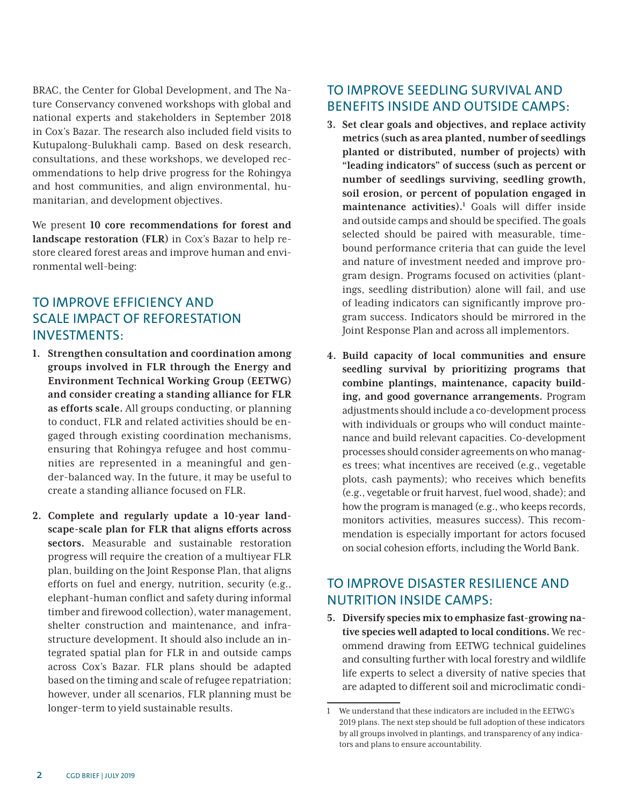BRAC, the Center for Global Development, and The Nature Conservancy convened workshops with global and national experts and stakeholders in September 2018 in Cox's Bazar. The research also included field visits to Kutupalong-Bulukhali camp. Based on desk research, consultations, and these workshops, we developed recommendations to help drive progress for the Rohingya and host communities, and align environmental, humanitarian, and development objectives.

We present **10 core recommendations for forest and landscape restoration (FLR)** in Cox's Bazar to help restore cleared forest areas and improve human and environmental well-being:

## TO IMPROVE EFFICIENCY AND SCALE IMPACT OF REFORESTATION INVESTMENTS:

- **1. Strengthen consultation and coordination among groups involved in FLR through the Energy and Environment Technical Working Group (EETWG) and consider creating a standing alliance for FLR as efforts scale.** All groups conducting, or planning to conduct, FLR and related activities should be engaged through existing coordination mechanisms, ensuring that Rohingya refugee and host communities are represented in a meaningful and gender-balanced way. In the future, it may be useful to create a standing alliance focused on FLR.
- **2. Complete and regularly update a 10-year landscape-scale plan for FLR that aligns efforts across sectors.** Measurable and sustainable restoration progress will require the creation of a multiyear FLR plan, building on the Joint Response Plan, that aligns efforts on fuel and energy, nutrition, security (e.g., elephant-human conflict and safety during informal timber and firewood collection), water management, shelter construction and maintenance, and infrastructure development. It should also include an integrated spatial plan for FLR in and outside camps across Cox's Bazar. FLR plans should be adapted based on the timing and scale of refugee repatriation; however, under all scenarios, FLR planning must be longer-term to yield sustainable results.

### TO IMPROVE SEEDLING SURVIVAL AND BENEFITS INSIDE AND OUTSIDE CAMPS:

- **3. Set clear goals and objectives, and replace activity metrics (such as area planted, number of seedlings planted or distributed, number of projects) with "leading indicators" of success (such as percent or number of seedlings surviving, seedling growth, soil erosion, or percent of population engaged in**  maintenance activities).<sup>1</sup> Goals will differ inside and outside camps and should be specified. The goals selected should be paired with measurable, timebound performance criteria that can guide the level and nature of investment needed and improve program design. Programs focused on activities (plantings, seedling distribution) alone will fail, and use of leading indicators can significantly improve program success. Indicators should be mirrored in the Joint Response Plan and across all implementors.
- **4. Build capacity of local communities and ensure seedling survival by prioritizing programs that combine plantings, maintenance, capacity building, and good governance arrangements.** Program adjustments should include a co-development process with individuals or groups who will conduct maintenance and build relevant capacities. Co-development processes should consider agreements on who manages trees; what incentives are received (e.g., vegetable plots, cash payments); who receives which benefits (e.g., vegetable or fruit harvest, fuel wood, shade); and how the program is managed (e.g., who keeps records, monitors activities, measures success). This recommendation is especially important for actors focused on social cohesion efforts, including the World Bank.

## TO IMPROVE DISASTER RESILIENCE AND NUTRITION INSIDE CAMPS:

**5. Diversify species mix to emphasize fast-growing native species well adapted to local conditions.** We recommend drawing from EETWG technical guidelines and consulting further with local forestry and wildlife life experts to select a diversity of native species that are adapted to different soil and microclimatic condi-

<sup>1</sup> We understand that these indicators are included in the EETWG's 2019 plans. The next step should be full adoption of these indicators by all groups involved in plantings, and transparency of any indicators and plans to ensure accountability.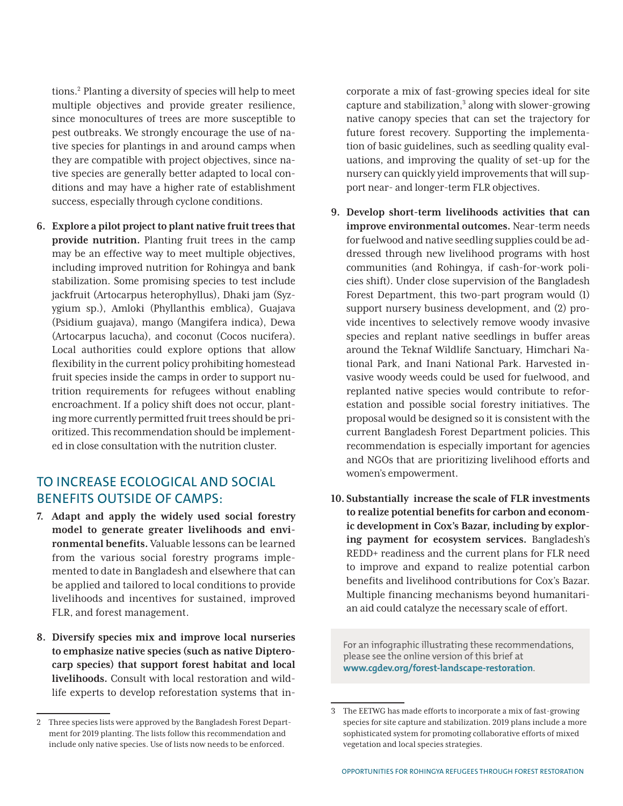tions.2 Planting a diversity of species will help to meet multiple objectives and provide greater resilience, since monocultures of trees are more susceptible to pest outbreaks. We strongly encourage the use of native species for plantings in and around camps when they are compatible with project objectives, since native species are generally better adapted to local conditions and may have a higher rate of establishment success, especially through cyclone conditions.

**6. Explore a pilot project to plant native fruit trees that provide nutrition.** Planting fruit trees in the camp may be an effective way to meet multiple objectives, including improved nutrition for Rohingya and bank stabilization. Some promising species to test include jackfruit (Artocarpus heterophyllus), Dhaki jam (Syzygium sp.), Amloki (Phyllanthis emblica), Guajava (Psidium guajava), mango (Mangifera indica), Dewa (Artocarpus lacucha), and coconut (Cocos nucifera). Local authorities could explore options that allow flexibility in the current policy prohibiting homestead fruit species inside the camps in order to support nutrition requirements for refugees without enabling encroachment. If a policy shift does not occur, planting more currently permitted fruit trees should be prioritized. This recommendation should be implemented in close consultation with the nutrition cluster.

### TO INCREASE ECOLOGICAL AND SOCIAL BENEFITS OUTSIDE OF CAMPS:

- **7. Adapt and apply the widely used social forestry model to generate greater livelihoods and environmental benefits.** Valuable lessons can be learned from the various social forestry programs implemented to date in Bangladesh and elsewhere that can be applied and tailored to local conditions to provide livelihoods and incentives for sustained, improved FLR, and forest management.
- **8. Diversify species mix and improve local nurseries to emphasize native species (such as native Dipterocarp species) that support forest habitat and local livelihoods.** Consult with local restoration and wildlife experts to develop reforestation systems that in-

corporate a mix of fast-growing species ideal for site capture and stabilization, $3$  along with slower-growing native canopy species that can set the trajectory for future forest recovery. Supporting the implementation of basic guidelines, such as seedling quality evaluations, and improving the quality of set-up for the nursery can quickly yield improvements that will support near- and longer-term FLR objectives.

- **9. Develop short-term livelihoods activities that can improve environmental outcomes.** Near-term needs for fuelwood and native seedling supplies could be addressed through new livelihood programs with host communities (and Rohingya, if cash-for-work policies shift). Under close supervision of the Bangladesh Forest Department, this two-part program would (1) support nursery business development, and (2) provide incentives to selectively remove woody invasive species and replant native seedlings in buffer areas around the Teknaf Wildlife Sanctuary, Himchari National Park, and Inani National Park. Harvested invasive woody weeds could be used for fuelwood, and replanted native species would contribute to reforestation and possible social forestry initiatives. The proposal would be designed so it is consistent with the current Bangladesh Forest Department policies. This recommendation is especially important for agencies and NGOs that are prioritizing livelihood efforts and women's empowerment.
- **10. Substantially increase the scale of FLR investments to realize potential benefits for carbon and economic development in Cox's Bazar, including by exploring payment for ecosystem services.** Bangladesh's REDD+ readiness and the current plans for FLR need to improve and expand to realize potential carbon benefits and livelihood contributions for Cox's Bazar. Multiple financing mechanisms beyond humanitarian aid could catalyze the necessary scale of effort.

For an infographic illustrating these recommendations, please see the online version of this brief at **www.cgdev.org/forest-landscape-restoration**.

<sup>2</sup> Three species lists were approved by the Bangladesh Forest Department for 2019 planting. The lists follow this recommendation and include only native species. Use of lists now needs to be enforced.

<sup>3</sup> The EETWG has made efforts to incorporate a mix of fast-growing species for site capture and stabilization. 2019 plans include a more sophisticated system for promoting collaborative efforts of mixed vegetation and local species strategies.